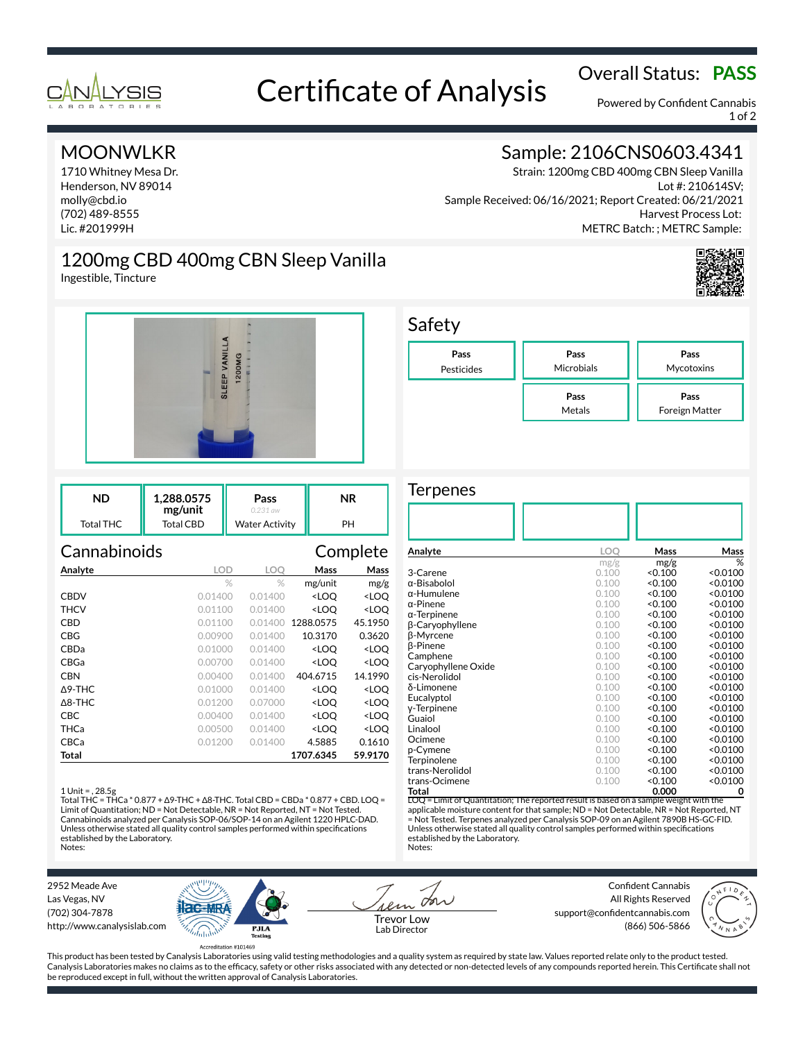

# Overall Status: **PASS**<br>Certificate of Analysis

Powered by Confident Cannabis 1 of 2

## MOONWLKR

1710 Whitney Mesa Dr. Henderson, NV 89014 molly@cbd.io (702) 489-8555 Lic. #201999H

Ingestible, Tincture

## Sample: 2106CNS0603.4341

Strain: 1200mg CBD 400mg CBN Sleep Vanilla Lot #: 210614SV; Sample Received: 06/16/2021; Report Created: 06/21/2021 Harvest Process Lot: METRC Batch: ; METRC Sample:





1200mg CBD 400mg CBN Sleep Vanilla

| ND        | 1.288.0575<br>mg/unit | Pass<br>0.231 aw      | ΝR |
|-----------|-----------------------|-----------------------|----|
| Total THC | Total CBD             | <b>Water Activity</b> | PH |

| Cannabinoids      |         |         |                                                 | Complete            |
|-------------------|---------|---------|-------------------------------------------------|---------------------|
| Analyte           | LOD     | LOO     | Mass                                            | Mass                |
|                   | $\%$    | $\%$    | mg/unit                                         | mg/g                |
| <b>CBDV</b>       | 0.01400 | 0.01400 | <loo< th=""><th><loo< th=""></loo<></th></loo<> | <loo< th=""></loo<> |
| THCV              | 0.01100 | 0.01400 | <loo< th=""><th><loq< th=""></loq<></th></loo<> | <loq< th=""></loq<> |
| CBD               | 0.01100 | 0.01400 | 1288.0575                                       | 45.1950             |
| CBG               | 0.00900 | 0.01400 | 10.3170                                         | 0.3620              |
| CBDa              | 0.01000 | 0.01400 | <loq< th=""><th><loq< th=""></loq<></th></loq<> | <loq< th=""></loq<> |
| CBGa              | 0.00700 | 0.01400 | <loq< th=""><th><loq< th=""></loq<></th></loq<> | <loq< th=""></loq<> |
| CBN               | 0.00400 | 0.01400 | 404.6715                                        | 14.1990             |
| $\Delta$ 9-THC    | 0.01000 | 0.01400 | <loo< th=""><th><loo< th=""></loo<></th></loo<> | <loo< th=""></loo<> |
| $\triangle$ 8-THC | 0.01200 | 0.07000 | <loq< th=""><th><loq< th=""></loq<></th></loq<> | <loq< th=""></loq<> |
| CBC               | 0.00400 | 0.01400 | <loq< th=""><th><loq< th=""></loq<></th></loq<> | <loq< th=""></loq<> |
| THCa              | 0.00500 | 0.01400 | <loq< th=""><th><loq< th=""></loq<></th></loq<> | <loq< th=""></loq<> |
| CBCa              | 0.01200 | 0.01400 | 4.5885                                          | 0.1610              |
| Total             |         |         | 1707.6345                                       | 59.9170             |

### 1 Unit = , 28.5g

Total THC = THCa \* 0.877 + ∆9-THC + ∆8-THC. Total CBD = CBDa \* 0.877 + CBD. LOQ = Limit of Quantitation; ND = Not Detectable, NR = Not Reported, NT = Not Tested. Cannabinoids analyzed per Canalysis SOP-06/SOP-14 on an Agilent 1220 HPLC-DAD. Unless otherwise stated all quality control samples performed within specifications established by the Laboratory. Notes:



### **Terpenes**

| Analyte                                                                               | LOQ   | Mass    | Mass     |
|---------------------------------------------------------------------------------------|-------|---------|----------|
|                                                                                       | mg/g  | mg/g    | %        |
| 3-Carene                                                                              | 0.100 | < 0.100 | < 0.0100 |
| $\alpha$ -Bisabolol                                                                   | 0.100 | < 0.100 | < 0.0100 |
| $\alpha$ -Humulene                                                                    | 0.100 | < 0.100 | < 0.0100 |
| $\alpha$ -Pinene                                                                      | 0.100 | < 0.100 | < 0.0100 |
| $\alpha$ -Terpinene                                                                   | 0.100 | < 0.100 | < 0.0100 |
| β-Caryophyllene                                                                       | 0.100 | < 0.100 | < 0.0100 |
| β-Myrcene                                                                             | 0.100 | < 0.100 | < 0.0100 |
| <b>B-Pinene</b>                                                                       | 0.100 | < 0.100 | < 0.0100 |
| Camphene                                                                              | 0.100 | < 0.100 | < 0.0100 |
| Caryophyllene Oxide                                                                   | 0.100 | < 0.100 | < 0.0100 |
| cis-Nerolidol                                                                         | 0.100 | < 0.100 | < 0.0100 |
| δ-Limonene                                                                            | 0.100 | < 0.100 | < 0.0100 |
| Eucalyptol                                                                            | 0.100 | < 0.100 | < 0.0100 |
| y-Terpinene                                                                           | 0.100 | < 0.100 | < 0.0100 |
| Guaiol                                                                                | 0.100 | < 0.100 | < 0.0100 |
| Linalool                                                                              | 0.100 | < 0.100 | < 0.0100 |
| Ocimene                                                                               | 0.100 | < 0.100 | < 0.0100 |
| p-Cymene                                                                              | 0.100 | < 0.100 | < 0.0100 |
| Terpinolene                                                                           | 0.100 | < 0.100 | < 0.0100 |
| trans-Nerolidol                                                                       | 0.100 | < 0.100 | < 0.0100 |
| trans-Ocimene                                                                         | 0.100 | < 0.100 | < 0.0100 |
| Total                                                                                 |       | 0.000   | 0        |
| LOQ = Limit of Quantitation; The reported result is based on a sample weight with the |       |         |          |

applicable moisture content for that sample; ND = Not Detectable, NR = Not Reported, NT = Not Tested. Terpenes analyzed per Canalysis SOP-09 on an Agilent 7890B HS-GC-FID. Unless otherwise stated all quality control samples performed within specifications established by the Laboratory. Notes:

2952 Meade Ave Las Vegas, NV (702) 304-7878 http://www.canalysislab.com



on Lab Director

Confident Cannabis All Rights Reserved support@confidentcannabis.com Support@commentealmabis.com<br>| 1 ab Director (866) 506-5866



This product has been tested by Canalysis Laboratories using valid testing methodologies and a quality system as required by state law. Values reported relate only to the product tested. Canalysis Laboratories makes no claims as to the efficacy, safety or other risks associated with any detected or non-detected levels of any compounds reported herein. This Certificate shall not be reproduced except in full, without the written approval of Canalysis Laboratories.